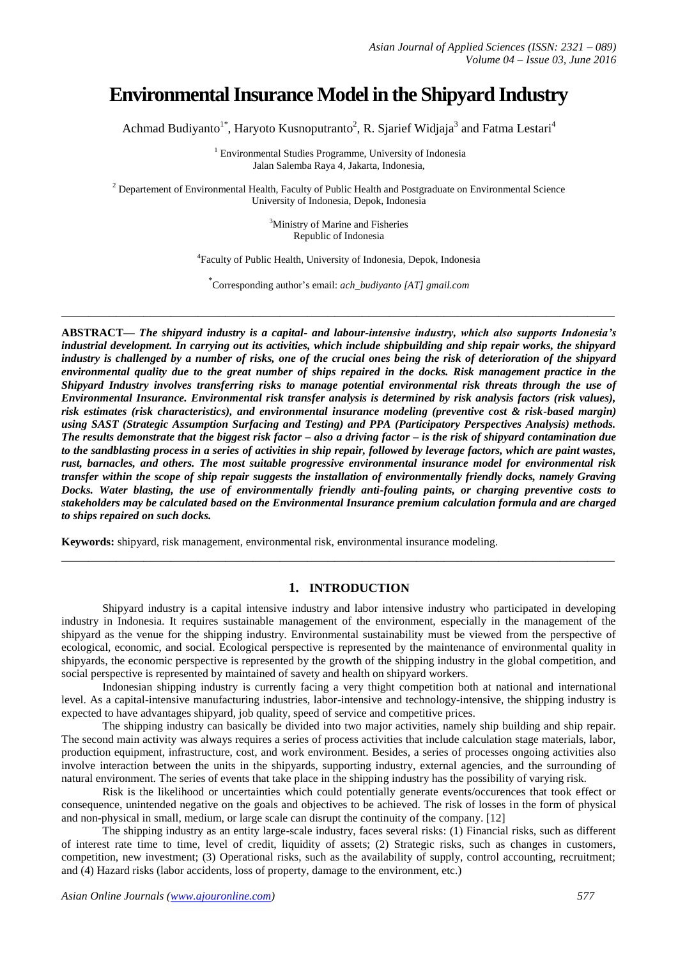# **Environmental Insurance Model in the Shipyard Industry**

Achmad Budiyanto<sup>1\*</sup>, Haryoto Kusnoputranto<sup>2</sup>, R. Sjarief Widjaja<sup>3</sup> and Fatma Lestari<sup>4</sup>

<sup>1</sup> Environmental Studies Programme, University of Indonesia Jalan Salemba Raya 4, Jakarta, Indonesia,

 $2$  Departement of Environmental Health, Faculty of Public Health and Postgraduate on Environmental Science University of Indonesia, Depok, Indonesia

> <sup>3</sup>Ministry of Marine and Fisheries Republic of Indonesia

4 Faculty of Public Health, University of Indonesia, Depok, Indonesia

\* Corresponding author's email: *ach\_budiyanto [AT] gmail.com*

**\_\_\_\_\_\_\_\_\_\_\_\_\_\_\_\_\_\_\_\_\_\_\_\_\_\_\_\_\_\_\_\_\_\_\_\_\_\_\_\_\_\_\_\_\_\_\_\_\_\_\_\_\_\_\_\_\_\_\_\_\_\_\_\_\_\_\_\_\_\_\_\_\_\_\_\_\_\_\_\_\_**

**ABSTRACT—** *The shipyard industry is a capital- and labour-intensive industry, which also supports Indonesia's industrial development. In carrying out its activities, which include shipbuilding and ship repair works, the shipyard industry is challenged by a number of risks, one of the crucial ones being the risk of deterioration of the shipyard environmental quality due to the great number of ships repaired in the docks. Risk management practice in the Shipyard Industry involves transferring risks to manage potential environmental risk threats through the use of Environmental Insurance. Environmental risk transfer analysis is determined by risk analysis factors (risk values), risk estimates (risk characteristics), and environmental insurance modeling (preventive cost & risk-based margin) using SAST (Strategic Assumption Surfacing and Testing) and PPA (Participatory Perspectives Analysis) methods. The results demonstrate that the biggest risk factor – also a driving factor – is the risk of shipyard contamination due to the sandblasting process in a series of activities in ship repair, followed by leverage factors, which are paint wastes, rust, barnacles, and others. The most suitable progressive environmental insurance model for environmental risk transfer within the scope of ship repair suggests the installation of environmentally friendly docks, namely Graving Docks. Water blasting, the use of environmentally friendly anti-fouling paints, or charging preventive costs to stakeholders may be calculated based on the Environmental Insurance premium calculation formula and are charged to ships repaired on such docks.*

**Keywords:** shipyard, risk management, environmental risk, environmental insurance modeling.

## **1. INTRODUCTION**

**\_\_\_\_\_\_\_\_\_\_\_\_\_\_\_\_\_\_\_\_\_\_\_\_\_\_\_\_\_\_\_\_\_\_\_\_\_\_\_\_\_\_\_\_\_\_\_\_\_\_\_\_\_\_\_\_\_\_\_\_\_\_\_\_\_\_\_\_\_\_\_\_\_\_\_\_\_\_\_\_\_**

Shipyard industry is a capital intensive industry and labor intensive industry who participated in developing industry in Indonesia. It requires sustainable management of the environment, especially in the management of the shipyard as the venue for the shipping industry. Environmental sustainability must be viewed from the perspective of ecological, economic, and social. Ecological perspective is represented by the maintenance of environmental quality in shipyards, the economic perspective is represented by the growth of the shipping industry in the global competition, and social perspective is represented by maintained of savety and health on shipyard workers.

Indonesian shipping industry is currently facing a very thight competition both at national and international level. As a capital-intensive manufacturing industries, labor-intensive and technology-intensive, the shipping industry is expected to have advantages shipyard, job quality, speed of service and competitive prices.

The shipping industry can basically be divided into two major activities, namely ship building and ship repair. The second main activity was always requires a series of process activities that include calculation stage materials, labor, production equipment, infrastructure, cost, and work environment. Besides, a series of processes ongoing activities also involve interaction between the units in the shipyards, supporting industry, external agencies, and the surrounding of natural environment. The series of events that take place in the shipping industry has the possibility of varying risk.

Risk is the likelihood or uncertainties which could potentially generate events/occurences that took effect or consequence, unintended negative on the goals and objectives to be achieved. The risk of losses in the form of physical and non-physical in small, medium, or large scale can disrupt the continuity of the company. [12]

The shipping industry as an entity large-scale industry, faces several risks: (1) Financial risks, such as different of interest rate time to time, level of credit, liquidity of assets; (2) Strategic risks, such as changes in customers, competition, new investment; (3) Operational risks, such as the availability of supply, control accounting, recruitment; and (4) Hazard risks (labor accidents, loss of property, damage to the environment, etc.)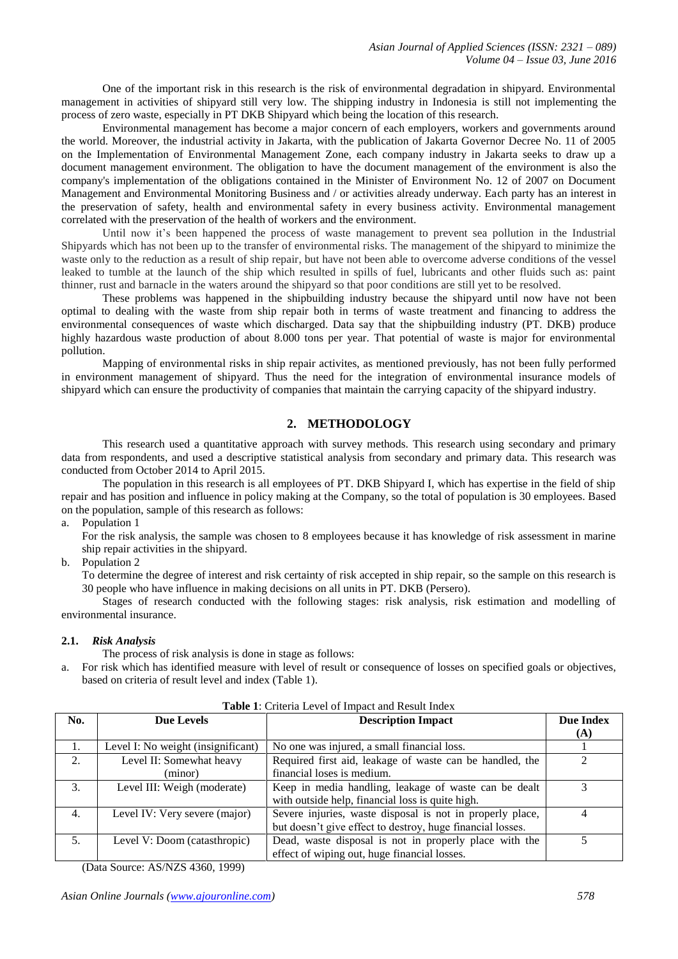One of the important risk in this research is the risk of environmental degradation in shipyard. Environmental management in activities of shipyard still very low. The shipping industry in Indonesia is still not implementing the process of zero waste, especially in PT DKB Shipyard which being the location of this research.

Environmental management has become a major concern of each employers, workers and governments around the world. Moreover, the industrial activity in Jakarta, with the publication of Jakarta Governor Decree No. 11 of 2005 on the Implementation of Environmental Management Zone, each company industry in Jakarta seeks to draw up a document management environment. The obligation to have the document management of the environment is also the company's implementation of the obligations contained in the Minister of Environment No. 12 of 2007 on Document Management and Environmental Monitoring Business and / or activities already underway. Each party has an interest in the preservation of safety, health and environmental safety in every business activity. Environmental management correlated with the preservation of the health of workers and the environment.

Until now it's been happened the process of waste management to prevent sea pollution in the Industrial Shipyards which has not been up to the transfer of environmental risks. The management of the shipyard to minimize the waste only to the reduction as a result of ship repair, but have not been able to overcome adverse conditions of the vessel leaked to tumble at the launch of the ship which resulted in spills of fuel, lubricants and other fluids such as: paint thinner, rust and barnacle in the waters around the shipyard so that poor conditions are still yet to be resolved.

These problems was happened in the shipbuilding industry because the shipyard until now have not been optimal to dealing with the waste from ship repair both in terms of waste treatment and financing to address the environmental consequences of waste which discharged. Data say that the shipbuilding industry (PT. DKB) produce highly hazardous waste production of about 8.000 tons per year. That potential of waste is major for environmental pollution.

Mapping of environmental risks in ship repair activites, as mentioned previously, has not been fully performed in environment management of shipyard. Thus the need for the integration of environmental insurance models of shipyard which can ensure the productivity of companies that maintain the carrying capacity of the shipyard industry.

# **2. METHODOLOGY**

This research used a quantitative approach with survey methods. This research using secondary and primary data from respondents, and used a descriptive statistical analysis from secondary and primary data. This research was conducted from October 2014 to April 2015.

The population in this research is all employees of PT. DKB Shipyard I, which has expertise in the field of ship repair and has position and influence in policy making at the Company, so the total of population is 30 employees. Based on the population, sample of this research as follows:

a. Population 1

For the risk analysis, the sample was chosen to 8 employees because it has knowledge of risk assessment in marine ship repair activities in the shipyard.

b. Population 2

To determine the degree of interest and risk certainty of risk accepted in ship repair, so the sample on this research is 30 people who have influence in making decisions on all units in PT. DKB (Persero).

Stages of research conducted with the following stages: risk analysis, risk estimation and modelling of environmental insurance.

#### **2.1.** *Risk Analysis*

The process of risk analysis is done in stage as follows:

a. For risk which has identified measure with level of result or consequence of losses on specified goals or objectives, based on criteria of result level and index (Table 1).

| No. | Due Levels                         | <b>Description Impact</b>                                  | Due Index |  |
|-----|------------------------------------|------------------------------------------------------------|-----------|--|
|     |                                    |                                                            | (A)       |  |
|     | Level I: No weight (insignificant) | No one was injured, a small financial loss.                |           |  |
| 2.  | Level II: Somewhat heavy           | Required first aid, leakage of waste can be handled, the   |           |  |
|     | (minor)                            | financial loses is medium.                                 |           |  |
| 3.  | Level III: Weigh (moderate)        | Keep in media handling, leakage of waste can be dealt      |           |  |
|     |                                    | with outside help, financial loss is quite high.           |           |  |
| 4.  | Level IV: Very severe (major)      | Severe injuries, waste disposal is not in properly place,  | 4         |  |
|     |                                    | but doesn't give effect to destroy, huge financial losses. |           |  |
| .5. | Level V: Doom (catasthropic)       | Dead, waste disposal is not in properly place with the     |           |  |
|     |                                    | effect of wiping out, huge financial losses.               |           |  |

**Table 1**: Criteria Level of Impact and Result Index

(Data Source: AS/NZS 4360, 1999)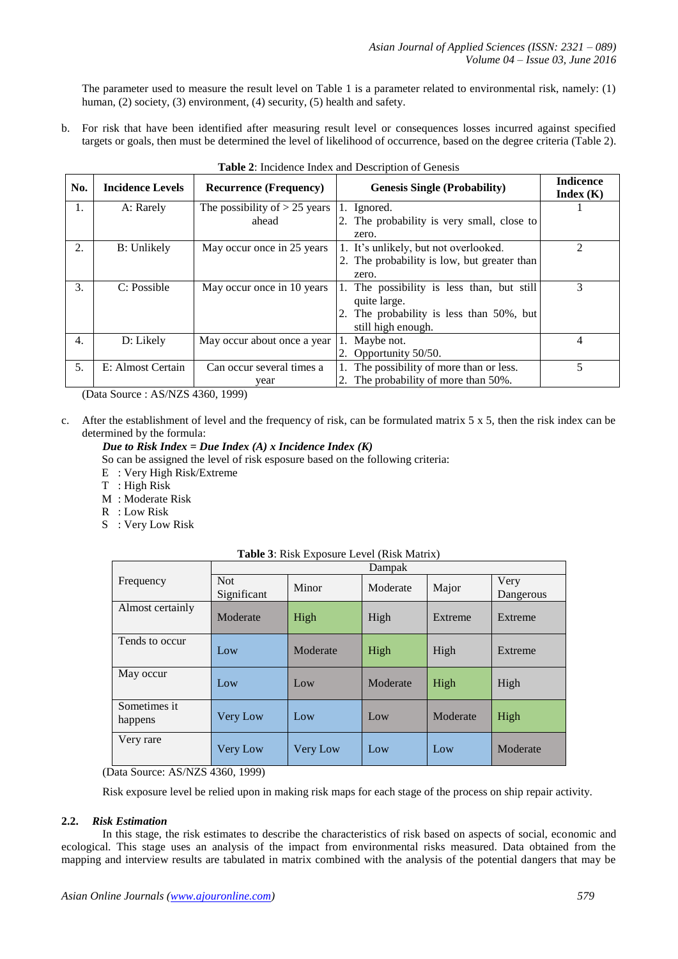The parameter used to measure the result level on Table 1 is a parameter related to environmental risk, namely: (1) human, (2) society, (3) environment, (4) security, (5) health and safety.

b. For risk that have been identified after measuring result level or consequences losses incurred against specified targets or goals, then must be determined the level of likelihood of occurrence, based on the degree criteria (Table 2).

| No. | <b>Incidence Levels</b> | <b>Recurrence (Frequency)</b>   | <b>Genesis Single (Probability)</b>         | <b>Indicence</b><br>Index $(K)$ |
|-----|-------------------------|---------------------------------|---------------------------------------------|---------------------------------|
| 1.  | A: Rarely               | The possibility of $> 25$ years | 1. Ignored.                                 |                                 |
|     |                         | ahead                           | 2. The probability is very small, close to  |                                 |
|     |                         |                                 | zero.                                       |                                 |
| 2.  | B: Unlikely             | May occur once in 25 years      | 1. It's unlikely, but not overlooked.       | 2                               |
|     |                         |                                 | 2. The probability is low, but greater than |                                 |
|     |                         |                                 | zero.                                       |                                 |
| 3.  | C: Possible             | May occur once in 10 years      | 1. The possibility is less than, but still  | 3                               |
|     |                         |                                 | quite large.                                |                                 |
|     |                         |                                 | 2. The probability is less than 50%, but    |                                 |
|     |                         |                                 | still high enough.                          |                                 |
| 4.  | D: Likely               | May occur about once a year     | 1. Maybe not.                               | 4                               |
|     |                         |                                 | 2. Opportunity 50/50.                       |                                 |
| 5.  | E: Almost Certain       | Can occur several times a       | 1. The possibility of more than or less.    | 5                               |
|     |                         | year                            | 2. The probability of more than 50%.        |                                 |

(Data Source : AS/NZS 4360, 1999)

c. After the establishment of level and the frequency of risk, can be formulated matrix  $5 \times 5$ , then the risk index can be determined by the formula:

# *Due to Risk Index = Due Index (A) x Incidence Index (K)*

So can be assigned the level of risk esposure based on the following criteria:

- E : Very High Risk/Extreme
- T : High Risk
- M : Moderate Risk
- R : Low Risk
- S : Very Low Risk

|                            | Dampak                                                                                                                                                                                                                                                                                                                                                                                           |          |          |          |                   |
|----------------------------|--------------------------------------------------------------------------------------------------------------------------------------------------------------------------------------------------------------------------------------------------------------------------------------------------------------------------------------------------------------------------------------------------|----------|----------|----------|-------------------|
| Frequency                  | <b>Not</b><br>Significant                                                                                                                                                                                                                                                                                                                                                                        | Minor    | Moderate | Major    | Very<br>Dangerous |
| Almost certainly           | Moderate                                                                                                                                                                                                                                                                                                                                                                                         | High     | High     | Extreme  | Extreme           |
| Tends to occur             | Low                                                                                                                                                                                                                                                                                                                                                                                              | Moderate | High     | High     | Extreme           |
| May occur                  | Low                                                                                                                                                                                                                                                                                                                                                                                              | Low      | Moderate | High     | High              |
| Sometimes it<br>happens    | Very Low                                                                                                                                                                                                                                                                                                                                                                                         | Low      | Low      | Moderate | High              |
| Very rare<br>$\sim$ $\sim$ | Very Low<br>$\overline{1}$ $\overline{0}$ $\overline{1}$ $\overline{1}$ $\overline{0}$ $\overline{1}$ $\overline{0}$ $\overline{1}$ $\overline{0}$ $\overline{0}$ $\overline{1}$ $\overline{0}$ $\overline{0}$ $\overline{1}$ $\overline{0}$ $\overline{1}$ $\overline{0}$ $\overline{1}$ $\overline{0}$ $\overline{1}$ $\overline{0}$ $\overline{1}$ $\overline{0}$ $\overline{1}$ $\overline{$ | Very Low | Low      | Low      | Moderate          |

**Table 3**: Risk Exposure Level (Risk Matrix)

(Data Source: AS/NZS 4360, 1999)

Risk exposure level be relied upon in making risk maps for each stage of the process on ship repair activity.

## **2.2.** *Risk Estimation*

In this stage, the risk estimates to describe the characteristics of risk based on aspects of social, economic and ecological. This stage uses an analysis of the impact from environmental risks measured. Data obtained from the mapping and interview results are tabulated in matrix combined with the analysis of the potential dangers that may be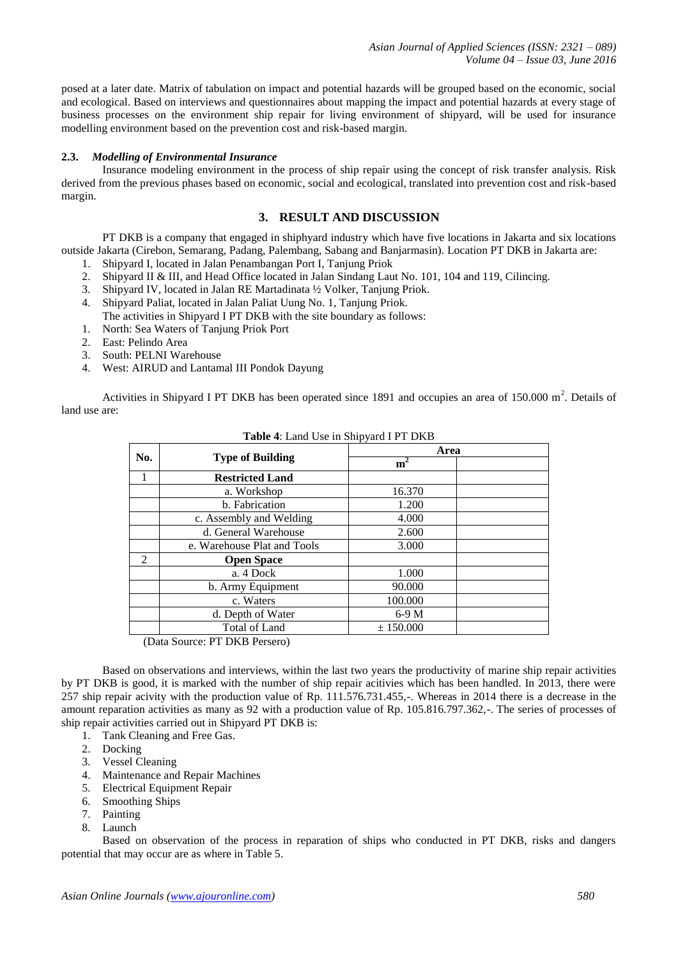*Asian Journal of Applied Sciences (ISSN: 2321 – 089) Volume 04 – Issue 03, June 2016*

posed at a later date. Matrix of tabulation on impact and potential hazards will be grouped based on the economic, social and ecological. Based on interviews and questionnaires about mapping the impact and potential hazards at every stage of business processes on the environment ship repair for living environment of shipyard, will be used for insurance modelling environment based on the prevention cost and risk-based margin.

#### **2.3.** *Modelling of Environmental Insurance*

Insurance modeling environment in the process of ship repair using the concept of risk transfer analysis. Risk derived from the previous phases based on economic, social and ecological, translated into prevention cost and risk-based margin.

## **3. RESULT AND DISCUSSION**

PT DKB is a company that engaged in shiphyard industry which have five locations in Jakarta and six locations outside Jakarta (Cirebon, Semarang, Padang, Palembang, Sabang and Banjarmasin). Location PT DKB in Jakarta are:

- 1. Shipyard I, located in Jalan Penambangan Port I, Tanjung Priok
- 2. Shipyard II & III, and Head Office located in Jalan Sindang Laut No. 101, 104 and 119, Cilincing.
- 3. Shipyard IV, located in Jalan RE Martadinata ½ Volker, Tanjung Priok.
- 4. Shipyard Paliat, located in Jalan Paliat Uung No. 1, Tanjung Priok. The activities in Shipyard I PT DKB with the site boundary as follows:
- 1. North: Sea Waters of Tanjung Priok Port
- 2. East: Pelindo Area
- 3. South: PELNI Warehouse
- 4. West: AIRUD and Lantamal III Pondok Dayung

Activities in Shipyard I PT DKB has been operated since 1891 and occupies an area of 150.000  $m^2$ . Details of land use are:

|     |                               | -r J           |  |
|-----|-------------------------------|----------------|--|
| No. |                               | Area           |  |
|     | <b>Type of Building</b>       | m <sup>2</sup> |  |
|     | <b>Restricted Land</b>        |                |  |
|     | a. Workshop                   | 16.370         |  |
|     | b. Fabrication                | 1.200          |  |
|     | c. Assembly and Welding       | 4.000          |  |
|     | d. General Warehouse          | 2.600          |  |
|     | e. Warehouse Plat and Tools   | 3.000          |  |
| 2   | <b>Open Space</b>             |                |  |
|     | a. 4 Dock                     | 1.000          |  |
|     | b. Army Equipment             | 90.000         |  |
|     | c. Waters                     | 100.000        |  |
|     | d. Depth of Water             | $6-9M$         |  |
|     | <b>Total of Land</b>          | ± 150.000      |  |
|     | (Data Source: DT DKR Dersero) |                |  |

#### **Table 4**: Land Use in Shipyard I PT DKB

(Data Source: PT DKB Persero)

Based on observations and interviews, within the last two years the productivity of marine ship repair activities by PT DKB is good, it is marked with the number of ship repair acitivies which has been handled. In 2013, there were 257 ship repair acivity with the production value of Rp. 111.576.731.455,-. Whereas in 2014 there is a decrease in the amount reparation activities as many as 92 with a production value of Rp. 105.816.797.362,-. The series of processes of ship repair activities carried out in Shipyard PT DKB is:

- 1. Tank Cleaning and Free Gas.
- 2. Docking
- 3. Vessel Cleaning
- 4. Maintenance and Repair Machines
- 5. Electrical Equipment Repair
- 6. Smoothing Ships
- 7. Painting
- 8. Launch

Based on observation of the process in reparation of ships who conducted in PT DKB, risks and dangers potential that may occur are as where in Table 5.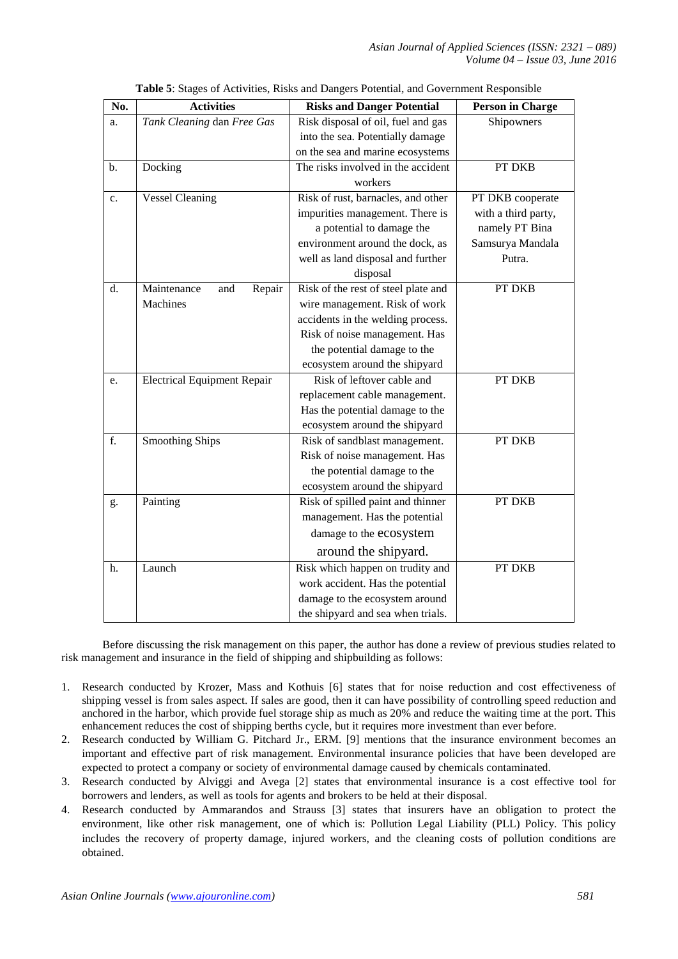| No. | <b>Activities</b>                  | <b>Risks and Danger Potential</b>   | <b>Person in Charge</b> |
|-----|------------------------------------|-------------------------------------|-------------------------|
| a.  | Tank Cleaning dan Free Gas         | Risk disposal of oil, fuel and gas  | Shipowners              |
|     |                                    | into the sea. Potentially damage    |                         |
|     |                                    | on the sea and marine ecosystems    |                         |
| b.  | Docking                            | The risks involved in the accident  | PT DKB                  |
|     |                                    | workers                             |                         |
| c.  | <b>Vessel Cleaning</b>             | Risk of rust, barnacles, and other  | PT DKB cooperate        |
|     |                                    | impurities management. There is     | with a third party,     |
|     |                                    | a potential to damage the           | namely PT Bina          |
|     |                                    | environment around the dock, as     | Samsurya Mandala        |
|     |                                    | well as land disposal and further   | Putra.                  |
|     |                                    | disposal                            |                         |
| d.  | Maintenance<br>Repair<br>and       | Risk of the rest of steel plate and | PT DKB                  |
|     | Machines                           | wire management. Risk of work       |                         |
|     |                                    | accidents in the welding process.   |                         |
|     |                                    | Risk of noise management. Has       |                         |
|     |                                    | the potential damage to the         |                         |
|     |                                    | ecosystem around the shipyard       |                         |
| e.  | <b>Electrical Equipment Repair</b> | Risk of leftover cable and          | PT DKB                  |
|     |                                    | replacement cable management.       |                         |
|     |                                    | Has the potential damage to the     |                         |
|     |                                    | ecosystem around the shipyard       |                         |
| f.  | <b>Smoothing Ships</b>             | Risk of sandblast management.       | PT DKB                  |
|     |                                    | Risk of noise management. Has       |                         |
|     |                                    | the potential damage to the         |                         |
|     |                                    | ecosystem around the shipyard       |                         |
| g.  | Painting                           | Risk of spilled paint and thinner   | PT DKB                  |
|     |                                    | management. Has the potential       |                         |
|     |                                    | damage to the ecosystem             |                         |
|     |                                    | around the shipyard.                |                         |
| h.  | Launch                             | Risk which happen on trudity and    | PT DKB                  |
|     |                                    | work accident. Has the potential    |                         |
|     |                                    | damage to the ecosystem around      |                         |
|     |                                    | the shipyard and sea when trials.   |                         |

| Table 5: Stages of Activities, Risks and Dangers Potential, and Government Responsible |  |
|----------------------------------------------------------------------------------------|--|
|                                                                                        |  |

Before discussing the risk management on this paper, the author has done a review of previous studies related to risk management and insurance in the field of shipping and shipbuilding as follows:

- 1. Research conducted by Krozer, Mass and Kothuis [6] states that for noise reduction and cost effectiveness of shipping vessel is from sales aspect. If sales are good, then it can have possibility of controlling speed reduction and anchored in the harbor, which provide fuel storage ship as much as 20% and reduce the waiting time at the port. This enhancement reduces the cost of shipping berths cycle, but it requires more investment than ever before.
- 2. Research conducted by William G. Pitchard Jr., ERM. [9] mentions that the insurance environment becomes an important and effective part of risk management. Environmental insurance policies that have been developed are expected to protect a company or society of environmental damage caused by chemicals contaminated.
- 3. Research conducted by Alviggi and Avega [2] states that environmental insurance is a cost effective tool for borrowers and lenders, as well as tools for agents and brokers to be held at their disposal.
- 4. Research conducted by Ammarandos and Strauss [3] states that insurers have an obligation to protect the environment, like other risk management, one of which is: Pollution Legal Liability (PLL) Policy. This policy includes the recovery of property damage, injured workers, and the cleaning costs of pollution conditions are obtained.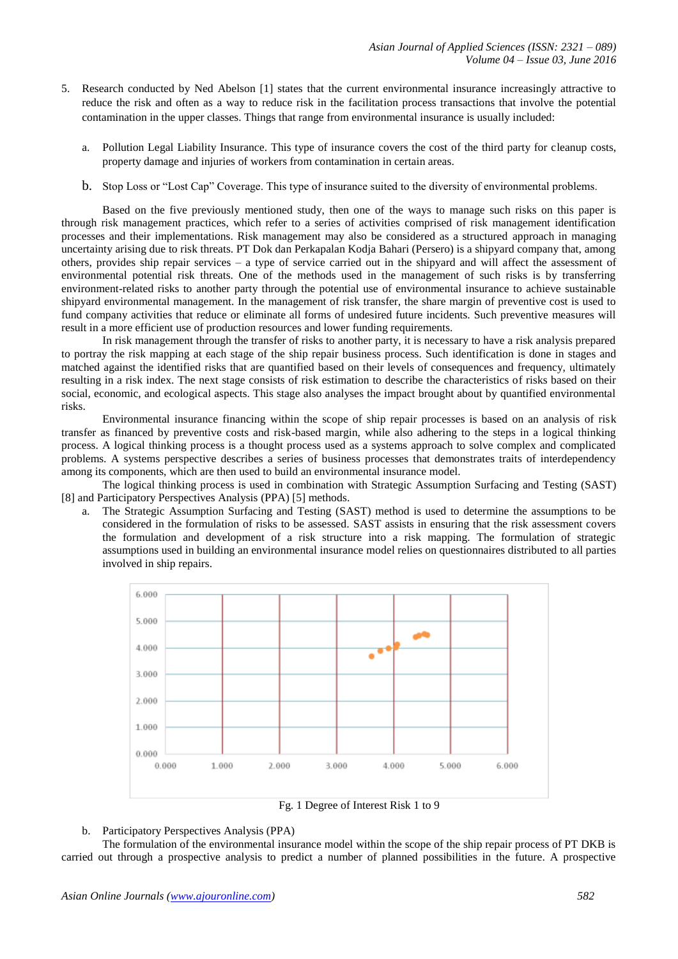- 5. Research conducted by Ned Abelson [1] states that the current environmental insurance increasingly attractive to reduce the risk and often as a way to reduce risk in the facilitation process transactions that involve the potential contamination in the upper classes. Things that range from environmental insurance is usually included:
	- a. Pollution Legal Liability Insurance. This type of insurance covers the cost of the third party for cleanup costs, property damage and injuries of workers from contamination in certain areas.
	- b. Stop Loss or "Lost Cap" Coverage. This type of insurance suited to the diversity of environmental problems.

Based on the five previously mentioned study, then one of the ways to manage such risks on this paper is through risk management practices, which refer to a series of activities comprised of risk management identification processes and their implementations. Risk management may also be considered as a structured approach in managing uncertainty arising due to risk threats. PT Dok dan Perkapalan Kodja Bahari (Persero) is a shipyard company that, among others, provides ship repair services – a type of service carried out in the shipyard and will affect the assessment of environmental potential risk threats. One of the methods used in the management of such risks is by transferring environment-related risks to another party through the potential use of environmental insurance to achieve sustainable shipyard environmental management. In the management of risk transfer, the share margin of preventive cost is used to fund company activities that reduce or eliminate all forms of undesired future incidents. Such preventive measures will result in a more efficient use of production resources and lower funding requirements.

In risk management through the transfer of risks to another party, it is necessary to have a risk analysis prepared to portray the risk mapping at each stage of the ship repair business process. Such identification is done in stages and matched against the identified risks that are quantified based on their levels of consequences and frequency, ultimately resulting in a risk index. The next stage consists of risk estimation to describe the characteristics of risks based on their social, economic, and ecological aspects. This stage also analyses the impact brought about by quantified environmental risks.

Environmental insurance financing within the scope of ship repair processes is based on an analysis of risk transfer as financed by preventive costs and risk-based margin, while also adhering to the steps in a logical thinking process. A logical thinking process is a thought process used as a systems approach to solve complex and complicated problems. A systems perspective describes a series of business processes that demonstrates traits of interdependency among its components, which are then used to build an environmental insurance model.

The logical thinking process is used in combination with Strategic Assumption Surfacing and Testing (SAST) [8] and Participatory Perspectives Analysis (PPA) [5] methods.

a. The Strategic Assumption Surfacing and Testing (SAST) method is used to determine the assumptions to be considered in the formulation of risks to be assessed. SAST assists in ensuring that the risk assessment covers the formulation and development of a risk structure into a risk mapping. The formulation of strategic assumptions used in building an environmental insurance model relies on questionnaires distributed to all parties involved in ship repairs.



Fg. 1 Degree of Interest Risk 1 to 9

## b. Participatory Perspectives Analysis (PPA)

The formulation of the environmental insurance model within the scope of the ship repair process of PT DKB is carried out through a prospective analysis to predict a number of planned possibilities in the future. A prospective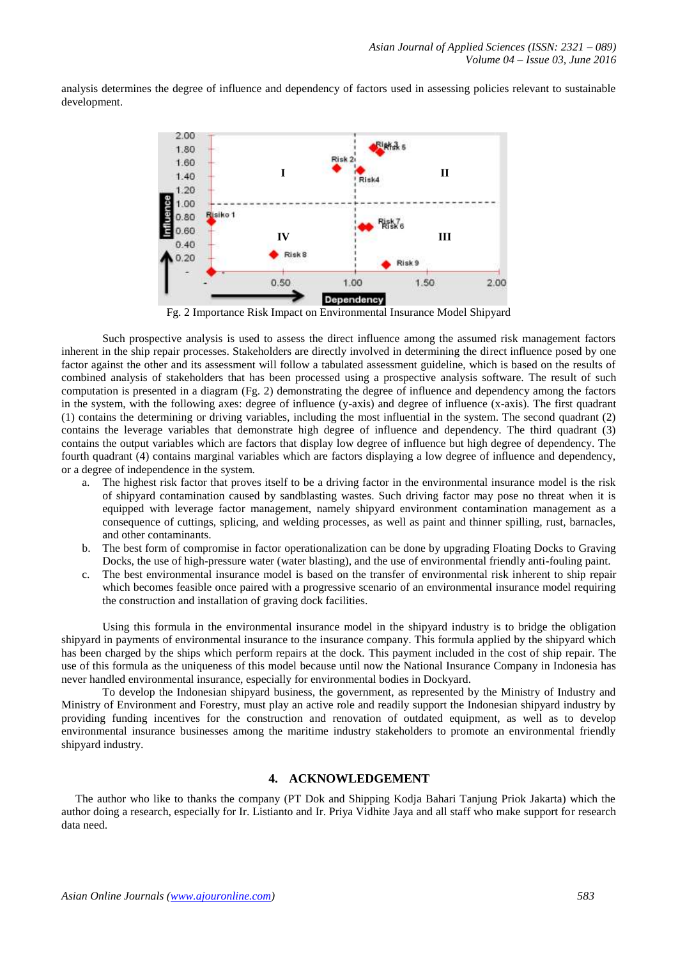analysis determines the degree of influence and dependency of factors used in assessing policies relevant to sustainable development.



Fg. 2 Importance Risk Impact on Environmental Insurance Model Shipyard

Such prospective analysis is used to assess the direct influence among the assumed risk management factors inherent in the ship repair processes. Stakeholders are directly involved in determining the direct influence posed by one factor against the other and its assessment will follow a tabulated assessment guideline, which is based on the results of combined analysis of stakeholders that has been processed using a prospective analysis software. The result of such computation is presented in a diagram (Fg. 2) demonstrating the degree of influence and dependency among the factors in the system, with the following axes: degree of influence (y-axis) and degree of influence (x-axis). The first quadrant (1) contains the determining or driving variables, including the most influential in the system. The second quadrant (2) contains the leverage variables that demonstrate high degree of influence and dependency. The third quadrant (3) contains the output variables which are factors that display low degree of influence but high degree of dependency. The fourth quadrant (4) contains marginal variables which are factors displaying a low degree of influence and dependency, or a degree of independence in the system.

- a. The highest risk factor that proves itself to be a driving factor in the environmental insurance model is the risk of shipyard contamination caused by sandblasting wastes. Such driving factor may pose no threat when it is equipped with leverage factor management, namely shipyard environment contamination management as a consequence of cuttings, splicing, and welding processes, as well as paint and thinner spilling, rust, barnacles, and other contaminants.
- b. The best form of compromise in factor operationalization can be done by upgrading Floating Docks to Graving Docks, the use of high-pressure water (water blasting), and the use of environmental friendly anti-fouling paint.
- c. The best environmental insurance model is based on the transfer of environmental risk inherent to ship repair which becomes feasible once paired with a progressive scenario of an environmental insurance model requiring the construction and installation of graving dock facilities.

Using this formula in the environmental insurance model in the shipyard industry is to bridge the obligation shipyard in payments of environmental insurance to the insurance company. This formula applied by the shipyard which has been charged by the ships which perform repairs at the dock. This payment included in the cost of ship repair. The use of this formula as the uniqueness of this model because until now the National Insurance Company in Indonesia has never handled environmental insurance, especially for environmental bodies in Dockyard.

To develop the Indonesian shipyard business, the government, as represented by the Ministry of Industry and Ministry of Environment and Forestry, must play an active role and readily support the Indonesian shipyard industry by providing funding incentives for the construction and renovation of outdated equipment, as well as to develop environmental insurance businesses among the maritime industry stakeholders to promote an environmental friendly shipyard industry.

# **4. ACKNOWLEDGEMENT**

The author who like to thanks the company (PT Dok and Shipping Kodja Bahari Tanjung Priok Jakarta) which the author doing a research, especially for Ir. Listianto and Ir. Priya Vidhite Jaya and all staff who make support for research data need.